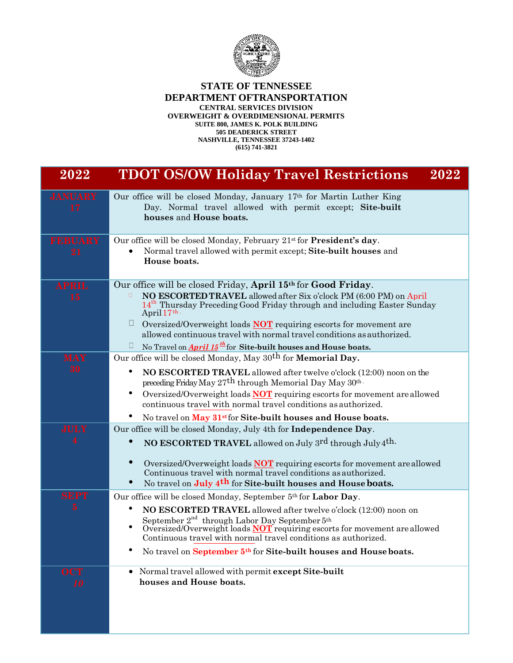

## **STATE OF TENNESSEE DEPARTMENT OFTRANSPORTATION CENTRAL SERVICES DIVISION OVERWEIGHT & OVERDIMENSIONAL PERMITS SUITE 800, JAMES K. POLK BUILDING 505 DEADERICK STREET NASHVILLE, TENNESSEE 37243-1402**

**(615) 741-3821**

| 2022                                   | <b>TDOT OS/OW Holiday Travel Restrictions</b><br>2022                                                                                                                                                                                                                                                                                                                                                                                                                                               |
|----------------------------------------|-----------------------------------------------------------------------------------------------------------------------------------------------------------------------------------------------------------------------------------------------------------------------------------------------------------------------------------------------------------------------------------------------------------------------------------------------------------------------------------------------------|
| <b>JANUARY</b><br>17                   | Our office will be closed Monday, January 17th for Martin Luther King<br>Day. Normal travel allowed with permit except; Site-built<br>houses and House boats.                                                                                                                                                                                                                                                                                                                                       |
| <b>FEBUARY</b><br>21                   | Our office will be closed Monday, February 21 <sup>st</sup> for <b>President's day</b> .<br>Normal travel allowed with permit except; Site-built houses and<br>House boats.                                                                                                                                                                                                                                                                                                                         |
| <b>APRIL</b><br>15                     | Our office will be closed Friday, April 15th for Good Friday.<br>NO ESCORTED TRAVEL allowed after Six o'clock PM (6:00 PM) on April<br>14 <sup>th</sup> Thursday Preceding Good Friday through and including Easter Sunday<br>April 17th.<br>Ц<br>Oversized/Overweight loads <b>NOT</b> requiring escorts for movement are<br>allowed continuous travel with normal travel conditions as authorized.<br>No Travel on <b>April 15</b> <sup>th</sup> for Site-built houses and House boats.<br>$\Box$ |
| <b>MAY</b><br>30                       | Our office will be closed Monday, May 30 <sup>th</sup> for <b>Memorial Day.</b><br>٠<br>NO ESCORTED TRAVEL allowed after twelve o'clock (12:00) noon on the<br>preceding Friday May 27th through Memorial Day May 30th.<br>٠<br>Oversized/Overweight loads <b>NOT</b> requiring escorts for movement are allowed<br>continuous travel with normal travel conditions as authorized.<br>No travel on May 31 <sup>st</sup> for Site-built houses and House boats.                                      |
| <b>JULY</b>                            | Our office will be closed Monday, July 4th for Independence Day.<br>NO ESCORTED TRAVEL allowed on July 3rd through July 4th.<br>$\bullet$<br>Oversized/Overweight loads <b>NOT</b> requiring escorts for movement are allowed<br>Continuous travel with normal travel conditions as authorized.<br>No travel on July 4 <sup>th</sup> for Site-built houses and House boats.                                                                                                                         |
| <b>SEPT</b><br>$\overline{\mathbf{5}}$ | Our office will be closed Monday, September 5th for Labor Day.<br>NO ESCORTED TRAVEL allowed after twelve o'clock (12:00) noon on<br>September $2^{nd}$ through Labor Day September $5^{th}$<br>Oversized/Overweight loads <b>NOT</b> requiring escorts for movement are allowed<br>$\bullet$<br>Continuous travel with normal travel conditions as authorized.<br>No travel on September 5th for Site-built houses and House boats.<br>$\bullet$                                                   |
| <b>OCT</b><br>10                       | Normal travel allowed with permit except Site-built<br>$\bullet$<br>houses and House boats.                                                                                                                                                                                                                                                                                                                                                                                                         |